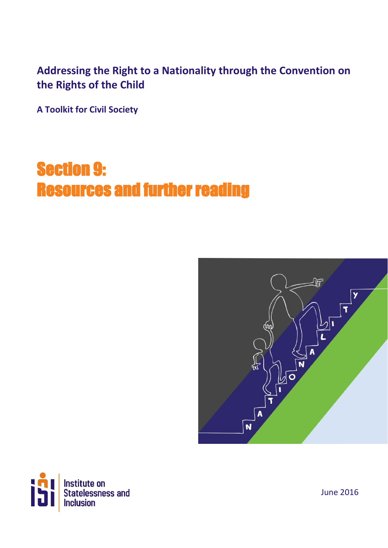## **Addressing the Right to a Nationality through the Convention on the Rights of the Child**

**A Toolkit for Civil Society**

# Section 9: Resources and further reading





June 2016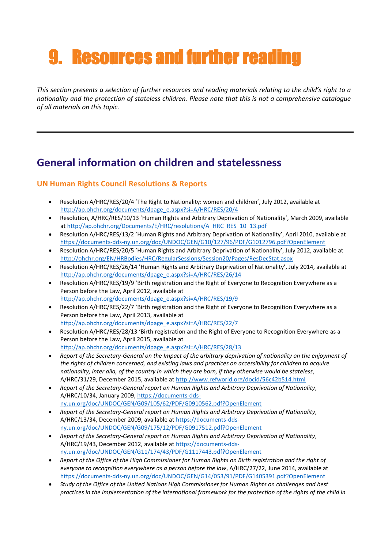# 9. Resources and further reading

*This section presents a selection of further resources and reading materials relating to the child's right to a nationality and the protection of stateless children. Please note that this is not a comprehensive catalogue of all materials on this topic.* 

## **General information on children and statelessness**

#### **UN Human Rights Council Resolutions & Reports**

- Resolution A/HRC/RES/20/4 'The Right to Nationality: women and children', July 2012, available at [http://ap.ohchr.org/documents/dpage\\_e.aspx?si=A/HRC/RES/20/4](http://ap.ohchr.org/documents/dpage_e.aspx?si=A/HRC/RES/20/4)
- Resolution, A/HRC/RES/10/13 'Human Rights and Arbitrary Deprivation of Nationality', March 2009, available at [http://ap.ohchr.org/Documents/E/HRC/resolutions/A\\_HRC\\_RES\\_10\\_13.pdf](http://ap.ohchr.org/Documents/E/HRC/resolutions/A_HRC_RES_10_13.pdf)
- Resolution A/HRC/RES/13/2 'Human Rights and Arbitrary Deprivation of Nationality', April 2010, available at <https://documents-dds-ny.un.org/doc/UNDOC/GEN/G10/127/96/PDF/G1012796.pdf?OpenElement>
- Resolution A/HRC/RES/20/5 'Human Rights and Arbitrary Deprivation of Nationality', July 2012, available at <http://ohchr.org/EN/HRBodies/HRC/RegularSessions/Session20/Pages/ResDecStat.aspx>
- Resolution A/HRC/RES/26/14 'Human Rights and Arbitrary Deprivation of Nationality', July 2014, available at [http://ap.ohchr.org/documents/dpage\\_e.aspx?si=A/HRC/RES/26/14](http://ap.ohchr.org/documents/dpage_e.aspx?si=A/HRC/RES/26/14)
- Resolution A/HRC/RES/19/9 'Birth registration and the Right of Everyone to Recognition Everywhere as a Person before the Law, April 2012, available at [http://ap.ohchr.org/documents/dpage\\_e.aspx?si=A/HRC/RES/19/9](http://ap.ohchr.org/documents/dpage_e.aspx?si=A/HRC/RES/19/9)
- Resolution A/HRC/RES/22/7 'Birth registration and the Right of Everyone to Recognition Everywhere as a Person before the Law, April 2013, available at [http://ap.ohchr.org/documents/dpage\\_e.aspx?si=A/HRC/RES/22/7](http://ap.ohchr.org/documents/dpage_e.aspx?si=A/HRC/RES/22/7)
- Resolution A/HRC/RES/28/13 'Birth registration and the Right of Everyone to Recognition Everywhere as a Person before the Law, April 2015, available at [http://ap.ohchr.org/documents/dpage\\_e.aspx?si=A/HRC/RES/28/13](http://ap.ohchr.org/documents/dpage_e.aspx?si=A/HRC/RES/28/13)
- *Report of the Secretary-General on the Impact of the arbitrary deprivation of nationality on the enjoyment of the rights of children concerned, and existing laws and practices on accessibility for children to acquire nationality, inter alia, of the country in which they are born, if they otherwise would be stateless*, A/HRC/31/29, December 2015, available at<http://www.refworld.org/docid/56c42b514.html>
- *Report of the Secretary-General report on Human Rights and Arbitrary Deprivation of Nationality*, A/HRC/10/34, January 2009[, https://documents-dds](https://documents-dds-ny.un.org/doc/UNDOC/GEN/G09/105/62/PDF/G0910562.pdf?OpenElement)[ny.un.org/doc/UNDOC/GEN/G09/105/62/PDF/G0910562.pdf?OpenElement](https://documents-dds-ny.un.org/doc/UNDOC/GEN/G09/105/62/PDF/G0910562.pdf?OpenElement)
- *Report of the Secretary-General report on Human Rights and Arbitrary Deprivation of Nationality*, A/HRC/13/34, December 2009, available at [https://documents-dds](https://documents-dds-ny.un.org/doc/UNDOC/GEN/G09/175/12/PDF/G0917512.pdf?OpenElement)[ny.un.org/doc/UNDOC/GEN/G09/175/12/PDF/G0917512.pdf?OpenElement](https://documents-dds-ny.un.org/doc/UNDOC/GEN/G09/175/12/PDF/G0917512.pdf?OpenElement)
- *Report of the Secretary-General report on Human Rights and Arbitrary Deprivation of Nationality*, A/HRC/19/43, December 2012, available at [https://documents-dds](https://documents-dds-ny.un.org/doc/UNDOC/GEN/G11/174/43/PDF/G1117443.pdf?OpenElement)[ny.un.org/doc/UNDOC/GEN/G11/174/43/PDF/G1117443.pdf?OpenElement](https://documents-dds-ny.un.org/doc/UNDOC/GEN/G11/174/43/PDF/G1117443.pdf?OpenElement)
- *Report of the Office of the High Commissioner for Human Rights on Birth registration and the right of everyone to recognition everywhere as a person before the law*, A/HRC/27/22, June 2014, available at <https://documents-dds-ny.un.org/doc/UNDOC/GEN/G14/053/91/PDF/G1405391.pdf?OpenElement>
- *Study of the Office of the United Nations High Commissioner for Human Rights on challenges and best practices in the implementation of the international framework for the protection of the rights of the child in*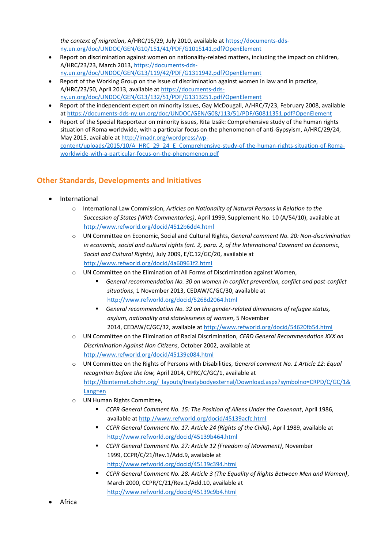*the context of migration*, A/HRC/15/29, July 2010, available at [https://documents-dds](https://documents-dds-ny.un.org/doc/UNDOC/GEN/G10/151/41/PDF/G1015141.pdf?OpenElement)[ny.un.org/doc/UNDOC/GEN/G10/151/41/PDF/G1015141.pdf?OpenElement](https://documents-dds-ny.un.org/doc/UNDOC/GEN/G10/151/41/PDF/G1015141.pdf?OpenElement)

- Report on discrimination against women on nationality-related matters, including the impact on children, A/HRC/23/23, March 2013[, https://documents-dds](https://documents-dds-ny.un.org/doc/UNDOC/GEN/G13/119/42/PDF/G1311942.pdf?OpenElement)[ny.un.org/doc/UNDOC/GEN/G13/119/42/PDF/G1311942.pdf?OpenElement](https://documents-dds-ny.un.org/doc/UNDOC/GEN/G13/119/42/PDF/G1311942.pdf?OpenElement)
- Report of the Working Group on the issue of discrimination against women in law and in practice, A/HRC/23/50, April 2013, available at [https://documents-dds](https://documents-dds-ny.un.org/doc/UNDOC/GEN/G13/132/51/PDF/G1313251.pdf?OpenElement)[ny.un.org/doc/UNDOC/GEN/G13/132/51/PDF/G1313251.pdf?OpenElement](https://documents-dds-ny.un.org/doc/UNDOC/GEN/G13/132/51/PDF/G1313251.pdf?OpenElement)
- Report of the independent expert on minority issues, Gay McDougall, A/HRC/7/23, February 2008, available at<https://documents-dds-ny.un.org/doc/UNDOC/GEN/G08/113/51/PDF/G0811351.pdf?OpenElement>
- Report of the Special Rapporteur on minority issues, Rita Izsák: Comprehensive study of the human rights situation of Roma worldwide, with a particular focus on the phenomenon of anti-Gypsyism, A/HRC/29/24, May 2015, available a[t http://imadr.org/wordpress/wp](http://imadr.org/wordpress/wp-content/uploads/2015/10/A_HRC_29_24_E_Comprehensive-study-of-the-human-rights-situation-of-Roma-worldwide-with-a-particular-focus-on-the-phenomenon.pdf)[content/uploads/2015/10/A\\_HRC\\_29\\_24\\_E\\_Comprehensive-study-of-the-human-rights-situation-of-Roma](http://imadr.org/wordpress/wp-content/uploads/2015/10/A_HRC_29_24_E_Comprehensive-study-of-the-human-rights-situation-of-Roma-worldwide-with-a-particular-focus-on-the-phenomenon.pdf)[worldwide-with-a-particular-focus-on-the-phenomenon.pdf](http://imadr.org/wordpress/wp-content/uploads/2015/10/A_HRC_29_24_E_Comprehensive-study-of-the-human-rights-situation-of-Roma-worldwide-with-a-particular-focus-on-the-phenomenon.pdf)

#### **Other Standards, Developments and Initiatives**

- International
	- o International Law Commission, *Articles on Nationality of Natural Persons in Relation to the Succession of States (With Commentaries)*, April 1999, Supplement No. 10 (A/54/10), available at <http://www.refworld.org/docid/4512b6dd4.html>
	- o UN Committee on Economic, Social and Cultural Rights, *General comment No. 20: Non-discrimination in economic, social and cultural rights (art. 2, para. 2, of the International Covenant on Economic, Social and Cultural Rights)*, July 2009, E/C.12/GC/20, available at <http://www.refworld.org/docid/4a60961f2.html>
	- o UN Committee on the Elimination of All Forms of Discrimination against Women,
		- *General recommendation No. 30 on women in conflict prevention, conflict and post-conflict situations*, 1 November 2013, CEDAW/C/GC/30, available at <http://www.refworld.org/docid/5268d2064.html>
		- *General recommendation No. 32 on the gender-related dimensions of refugee status, asylum, nationality and statelessness of women*, 5 November 2014, CEDAW/C/GC/32, available at<http://www.refworld.org/docid/54620fb54.html>
	- o UN Committee on the Elimination of Racial Discrimination, *CERD General Recommendation XXX on Discrimination Against Non Citizens*, October 2002, available at <http://www.refworld.org/docid/45139e084.html>
	- o UN Committee on the Rights of Persons with Disabilities, *General comment No. 1 Article 12: Equal recognition before the law,* April 2014, CPRC/C/GC/1, available at [http://tbinternet.ohchr.org/\\_layouts/treatybodyexternal/Download.aspx?symbolno=CRPD/C/GC/1&](http://tbinternet.ohchr.org/_layouts/treatybodyexternal/Download.aspx?symbolno=CRPD/C/GC/1&Lang=en) [Lang=en](http://tbinternet.ohchr.org/_layouts/treatybodyexternal/Download.aspx?symbolno=CRPD/C/GC/1&Lang=en)
	- o UN Human Rights Committee,
		- *CCPR General Comment No. 15: The Position of Aliens Under the Covenant*, April 1986, available at<http://www.refworld.org/docid/45139acfc.html>
		- *CCPR General Comment No. 17: Article 24 (Rights of the Child)*, April 1989, available at <http://www.refworld.org/docid/45139b464.html>
		- *CCPR General Comment No. 27: Article 12 (Freedom of Movement)*, November 1999, CCPR/C/21/Rev.1/Add.9, available at <http://www.refworld.org/docid/45139c394.html>
		- *CCPR General Comment No. 28: Article 3 (The Equality of Rights Between Men and Women)*, March 2000, CCPR/C/21/Rev.1/Add.10, available at <http://www.refworld.org/docid/45139c9b4.html>
- Africa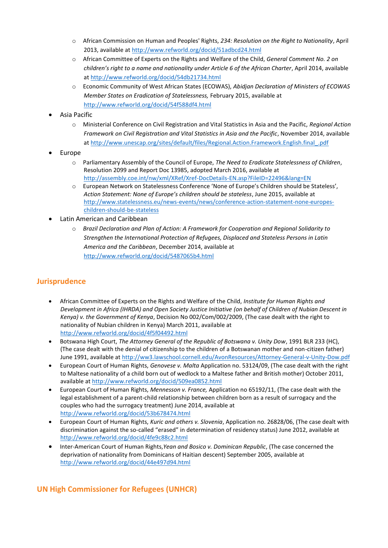- o African Commission on Human and Peoples' Rights, *234: Resolution on the Right to Nationality*, April 2013, available at<http://www.refworld.org/docid/51adbcd24.html>
- o African Committee of Experts on the Rights and Welfare of the Child, *General Comment No. 2 on children's right to a name and nationality under Article 6 of the African Charter*, April 2014, available at<http://www.refworld.org/docid/54db21734.html>
- o Economic Community of West African States (ECOWAS), *Abidjan Declaration of Ministers of ECOWAS Member States on Eradication of Statelessness,* February 2015, available at <http://www.refworld.org/docid/54f588df4.html>
- Asia Pacific
	- o Ministerial Conference on Civil Registration and Vital Statistics in Asia and the Pacific, *Regional Action Framework on Civil Registration and Vital Statistics in Asia and the Pacific*, November 2014, available at [http://www.unescap.org/sites/default/files/Regional.Action.Framework.English.final\\_.pdf](http://www.unescap.org/sites/default/files/Regional.Action.Framework.English.final_.pdf)
- Europe
	- o Parliamentary Assembly of the Council of Europe, *The Need to Eradicate Statelessness of Children*, Resolution 2099 and Report Doc 13985, adopted March 2016, available at <http://assembly.coe.int/nw/xml/XRef/Xref-DocDetails-EN.asp?FileID=22496&lang=EN>
	- o European Network on Statelessness Conference 'None of Europe's Children should be Stateless', *Action Statement: None of Europe's children should be stateless*, June 2015, available at [http://www.statelessness.eu/news-events/news/conference-action-statement-none-europes](http://www.statelessness.eu/news-events/news/conference-action-statement-none-europes-children-should-be-stateless)[children-should-be-stateless](http://www.statelessness.eu/news-events/news/conference-action-statement-none-europes-children-should-be-stateless)
- Latin American and Caribbean
	- o *Brazil Declaration and Plan of Action: A Framework for Cooperation and Regional Solidarity to Strengthen the International Protection of Refugees, Displaced and Stateless Persons in Latin America and the Caribbean*, December 2014, available at <http://www.refworld.org/docid/5487065b4.html>

#### **Jurisprudence**

- African Committee of Experts on the Rights and Welfare of the Child, *Institute for Human Rights and Development in Africa (IHRDA) and Open Society Justice Initiative (on behalf of Children of Nubian Descent in Kenya) v. the Government of Kenya*, Decision No 002/Com/002/2009, (The case dealt with the right to nationality of Nubian children in Kenya) March 2011, available at <http://www.refworld.org/docid/4f5f04492.html>
- Botswana High Court, *The Attorney General of the Republic of Botswana v. Unity Dow*, 1991 BLR 233 (HC), (The case dealt with the denial of citizenship to the children of a Botswanan mother and non-citizen father) June 1991, available at<http://ww3.lawschool.cornell.edu/AvonResources/Attorney-General-v-Unity-Dow.pdf>
- European Court of Human Rights, *Genovese v. Malta* Application no. 53124/09, (The case dealt with the right to Maltese nationality of a child born out of wedlock to a Maltese father and British mother) October 2011, available at<http://www.refworld.org/docid/509ea0852.html>
- European Court of Human Rights, *Mennesson v. France,* Application no 65192/11, (The case dealt with the legal establishment of a parent-child relationship between children born as a result of surrogacy and the couples who had the surrogacy treatment) June 2014, available at <http://www.refworld.org/docid/53b678474.html>
- European Court of Human Rights, *Kuric and others v. Slovenia*, Application no. 26828/06, (The case dealt with discrimination against the so-called "erased" in determination of residency status) June 2012, available at <http://www.refworld.org/docid/4fe9c88c2.html>
- Inter-American Court of Human Rights,*Yean and Bosico v. Dominican Republic*, (The case concerned the deprivation of nationality from Dominicans of Haitian descent) September 2005, available at <http://www.refworld.org/docid/44e497d94.html>

#### **UN High Commissioner for Refugees (UNHCR)**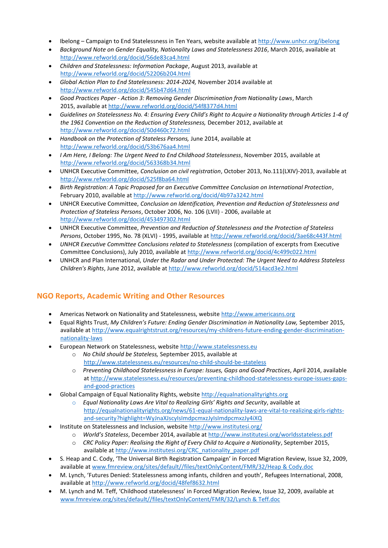- Ibelong Campaign to End Statelessness in Ten Years, website available at<http://www.unhcr.org/ibelong>
- *Background Note on Gender Equality, Nationality Laws and Statelessness 2016*, March 2016, available at <http://www.refworld.org/docid/56de83ca4.html>
- *Children and Statelessness: Information Package*, August 2013, available at <http://www.refworld.org/docid/52206b204.html>
- *Global Action Plan to End Statelessness: 2014-2024,* November 2014 available at <http://www.refworld.org/docid/545b47d64.html>
- *Good Practices Paper - Action 3: Removing Gender Discrimination from Nationality Laws*, March 2015, available a[t http://www.refworld.org/docid/54f8377d4.html](http://www.refworld.org/docid/54f8377d4.html)
- *Guidelines on Statelessness No. 4: Ensuring Every Child's Right to Acquire a Nationality through Articles 1-4 of the 1961 Convention on the Reduction of Statelessness,* December 2012, available at <http://www.refworld.org/docid/50d460c72.html>
- *Handbook on the Protection of Stateless Persons,* June 2014, available at <http://www.refworld.org/docid/53b676aa4.html>
- *I Am Here, I Belong: The Urgent Need to End Childhood Statelessness*, November 2015, available at <http://www.refworld.org/docid/563368b34.html>
- UNHCR Executive Committee, *Conclusion on civil registration*, October 2013, No.111(LXIV)-2013, available at <http://www.refworld.org/docid/525f8ba64.html>
- *Birth Registration: A Topic Proposed for an Executive Committee Conclusion on International Protection*, February 2010, available at<http://www.refworld.org/docid/4b97a3242.html>
- UNHCR Executive Committee, *Conclusion on Identification, Prevention and Reduction of Statelessness and Protection of Stateless Persons*, October 2006, No. 106 (LVII) - 2006, available at <http://www.refworld.org/docid/453497302.html>
- UNHCR Executive Committee, *Prevention and Reduction of Statelessness and the Protection of Stateless Persons*, October 1995, No. 78 (XLVI) - 1995, available at<http://www.refworld.org/docid/3ae68c443f.html>
- *UNHCR Executive Committee Conclusions related to Statelessness* (compilation of excerpts from Executive Committee Conclusions), July 2010, available at<http://www.refworld.org/docid/4c499c022.html>
- UNHCR and Plan International, *Under the Radar and Under Protected: The Urgent Need to Address Stateless Children's Rights*, June 2012, available at<http://www.refworld.org/docid/514acd3e2.html>

#### **NGO Reports, Academic Writing and Other Resources**

- Americas Network on Nationality and Statelessness, websit[e http://www.americasns.org](http://www.americasns.org/)
- Equal Rights Trust, *My Children's Future: Ending Gender Discrimination in Nationality Law,* September 2015, available at [http://www.equalrightstrust.org/resources/my-childrens-future-ending-gender-discrimination](http://www.equalrightstrust.org/resources/my-childrens-future-ending-gender-discrimination-nationality-laws)[nationality-laws](http://www.equalrightstrust.org/resources/my-childrens-future-ending-gender-discrimination-nationality-laws)
- European Network on Statelessness, website [http://www.statelessness.eu](http://www.statelessness.eu/)
	- o *No Child should be Stateless,* September 2015, available at <http://www.statelessness.eu/resources/no-child-should-be-stateless>
	- o *Preventing Childhood Statelessness in Europe: Issues, Gaps and Good Practices*, April 2014, available at [http://www.statelessness.eu/resources/preventing-childhood-statelessness-europe-issues-gaps](http://www.statelessness.eu/resources/preventing-childhood-statelessness-europe-issues-gaps-and-good-practices)[and-good-practices](http://www.statelessness.eu/resources/preventing-childhood-statelessness-europe-issues-gaps-and-good-practices)
- Global Campaign of Equal Nationality Rights, website [http://equalnationalityrights.org](http://equalnationalityrights.org/)
	- o *Equal Nationality Laws Are Vital to Realizing Girls' Rights and Security*, available at [http://equalnationalityrights.org/news/61-equal-nationality-laws-are-vital-to-realizing-girls-rights](http://equalnationalityrights.org/news/61-equal-nationality-laws-are-vital-to-realizing-girls-rights-and-security?highlight=WyJnaXJscyIsImdpcmxzJyIsImdpcmxzJy4iXQ)[and-security?highlight=WyJnaXJscyIsImdpcmxzJyIsImdpcmxzJy4iXQ](http://equalnationalityrights.org/news/61-equal-nationality-laws-are-vital-to-realizing-girls-rights-and-security?highlight=WyJnaXJscyIsImdpcmxzJyIsImdpcmxzJy4iXQ)
- Institute on Statelessness and Inclusion, websit[e http://www.institutesi.org/](http://www.institutesi.org/)
	- o *World's Stateless*, December 2014, available at <http://www.institutesi.org/worldsstateless.pdf>
	- o *CRC Policy Paper: Realising the Right of Every Child to Acquire a Nationality*, September 2015, available at [http://www.institutesi.org/CRC\\_nationality\\_paper.pdf](http://www.institutesi.org/CRC_nationality_paper.pdf)
- S. Heap and C. Cody, 'The Universal Birth Registration Campaign' in Forced Migration Review, Issue 32, 2009, available at [www.fmreview.org/sites/default//files/textOnlyContent/FMR/32/Heap & Cody.doc](http://www.fmreview.org/sites/default/files/textOnlyContent/FMR/32/Heap%20&)
- M. Lynch, 'Futures Denied: Statelessness among infants, children and youth', Refugees International, 2008, available at<http://www.refworld.org/docid/48fef8632.html>
- M. Lynch and M. Teff, 'Childhood statelessness' in Forced Migration Review, Issue 32, 2009, available at [www.fmreview.org/sites/default//files/textOnlyContent/FMR/32/Lynch & Teff.doc](http://www.fmreview.org/sites/default/files/textOnlyContent/FMR/32/Lynch%20&)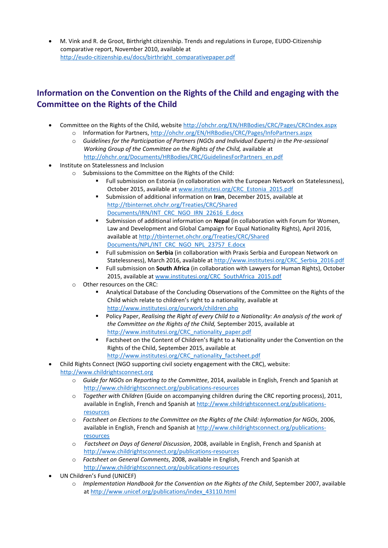M. Vink and R. de Groot, Birthright citizenship. Trends and regulations in Europe, EUDO-Citizenship comparative report, November 2010, available at [http://eudo-citizenship.eu/docs/birthright\\_comparativepaper.pdf](http://eudo-citizenship.eu/docs/birthright_comparativepaper.pdf)

### **Information on the Convention on the Rights of the Child and engaging with the Committee on the Rights of the Child**

- Committee on the Rights of the Child, websit[e http://ohchr.org/EN/HRBodies/CRC/Pages/CRCIndex.aspx](http://ohchr.org/EN/HRBodies/CRC/Pages/CRCIndex.aspx) o Information for Partners[, http://ohchr.org/EN/HRBodies/CRC/Pages/InfoPartners.aspx](http://ohchr.org/EN/HRBodies/CRC/Pages/InfoPartners.aspx)
	- o *Guidelines for the Participation of Partners (NGOs and Individual Experts) in the Pre-sessional Working Group of the Committee on the Rights of the Child,* available at [http://ohchr.org/Documents/HRBodies/CRC/GuidelinesForPartners\\_en.pdf](http://ohchr.org/Documents/HRBodies/CRC/GuidelinesForPartners_en.pdf)
- Institute on Statelessness and Inclusion
	- Submissions to the Committee on the Rights of the Child:
		- Full submission on Estonia (in collaboration with the European Network on Statelessness), October 2015, available at [www.institutesi.org/CRC\\_Estonia\\_2015.pdf](http://www.institutesi.org/CRC_Estonia_2015.pdf)
		- Submission of additional information on **Iran**, December 2015, available at [http://tbinternet.ohchr.org/Treaties/CRC/Shared](http://tbinternet.ohchr.org/Treaties/CRC/Shared%20Documents/IRN/INT_CRC_NGO_IRN_22616_E.docx)  [Documents/IRN/INT\\_CRC\\_NGO\\_IRN\\_22616\\_E.docx](http://tbinternet.ohchr.org/Treaties/CRC/Shared%20Documents/IRN/INT_CRC_NGO_IRN_22616_E.docx)
		- Submission of additional information on **Nepal** (in collaboration with Forum for Women, Law and Development and Global Campaign for Equal Nationality Rights), April 2016, available at [http://tbinternet.ohchr.org/Treaties/CRC/Shared](http://tbinternet.ohchr.org/Treaties/CRC/Shared%20Documents/NPL/INT_CRC_NGO_NPL_23757_E.docx)  [Documents/NPL/INT\\_CRC\\_NGO\\_NPL\\_23757\\_E.docx](http://tbinternet.ohchr.org/Treaties/CRC/Shared%20Documents/NPL/INT_CRC_NGO_NPL_23757_E.docx)
		- Full submission on **Serbia** (in collaboration with Praxis Serbia and European Network on Statelessness), March 2016, available at [http://www.institutesi.org/CRC\\_Serbia\\_2016.pdf](http://www.institutesi.org/CRC_Serbia_2016.pdf)
		- Full submission on **South Africa** (in collaboration with Lawyers for Human Rights), October 2015, available at [www.institutesi.org/CRC\\_SouthAfrica\\_2015.pdf](http://www.institutesi.org/CRC_SouthAfrica_2015.pdf)
		- o Other resources on the CRC:
			- Analytical Database of the Concluding Observations of the Committee on the Rights of the Child which relate to children's right to a nationality, available at <http://www.institutesi.org/ourwork/children.php>
			- **Policy Paper,** *Realising the Right of every Child to a Nationality: An analysis of the work of the Committee on the Rights of the Child,* September 2015, available at [http://www.institutesi.org/CRC\\_nationality\\_paper.pdf](http://www.institutesi.org/CRC_nationality_paper.pdf)
			- Factsheet on the Content of Children's Right to a Nationality under the Convention on the Rights of the Child, September 2015, available at
			- [http://www.institutesi.org/CRC\\_nationality\\_factsheet.pdf](http://www.institutesi.org/CRC_nationality_factsheet.pdf)

#### Child Rights Connect (NGO supporting civil society engagement with the CRC), website: [http://www.childrightsconnect.org](http://www.childrightsconnect.org/)

- o *Guide for NGOs on Reporting to the Committee*, 2014, available in English, French and Spanish at <http://www.childrightsconnect.org/publications-resources>
- *Together with Children* (Guide on accompanying children during the CRC reporting process), 2011, available in English, French and Spanish at [http://www.childrightsconnect.org/publications](http://www.childrightsconnect.org/publications-resources)[resources](http://www.childrightsconnect.org/publications-resources)
- o *Factsheet on Elections to the Committee on the Rights of the Child: Information for NGOs*, 2006, available in English, French and Spanish at [http://www.childrightsconnect.org/publications](http://www.childrightsconnect.org/publications-resources)[resources](http://www.childrightsconnect.org/publications-resources)
- o *Factsheet on Days of General Discussion*, 2008, available in English, French and Spanish at <http://www.childrightsconnect.org/publications-resources>
- o *Factsheet on General Comments*, 2008, available in English, French and Spanish at <http://www.childrightsconnect.org/publications-resources>
- UN Children's Fund (UNICEF)
	- o *Implementation Handbook for the Convention on the Rights of the Child*, September 2007, available at [http://www.unicef.org/publications/index\\_43110.html](http://www.unicef.org/publications/index_43110.html)